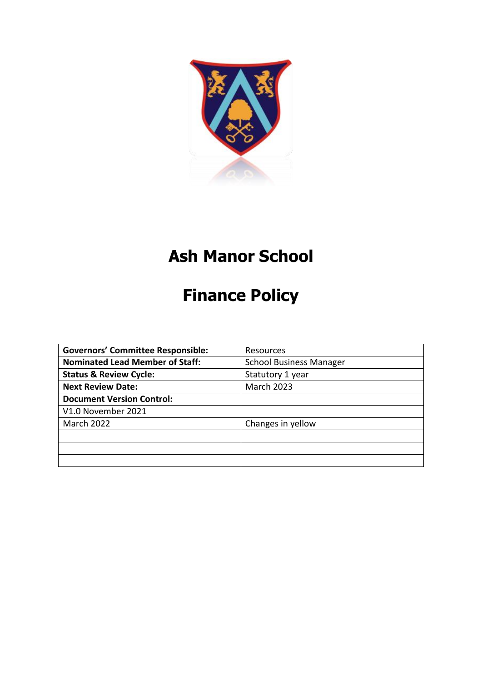

## **Ash Manor School**

# **Finance Policy**

| <b>Governors' Committee Responsible:</b>                                 | Resources         |  |
|--------------------------------------------------------------------------|-------------------|--|
| <b>Nominated Lead Member of Staff:</b><br><b>School Business Manager</b> |                   |  |
| <b>Status &amp; Review Cycle:</b><br>Statutory 1 year                    |                   |  |
| <b>Next Review Date:</b>                                                 | <b>March 2023</b> |  |
| <b>Document Version Control:</b>                                         |                   |  |
| V1.0 November 2021                                                       |                   |  |
| <b>March 2022</b>                                                        | Changes in yellow |  |
|                                                                          |                   |  |
|                                                                          |                   |  |
|                                                                          |                   |  |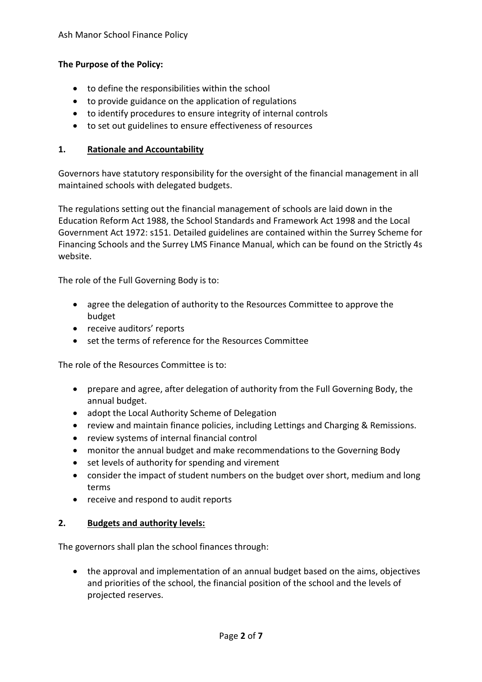## **The Purpose of the Policy:**

- to define the responsibilities within the school
- to provide guidance on the application of regulations
- to identify procedures to ensure integrity of internal controls
- to set out guidelines to ensure effectiveness of resources

#### **1. Rationale and Accountability**

Governors have statutory responsibility for the oversight of the financial management in all maintained schools with delegated budgets.

The regulations setting out the financial management of schools are laid down in the Education Reform Act 1988, the School Standards and Framework Act 1998 and the Local Government Act 1972: s151. Detailed guidelines are contained within the Surrey Scheme for Financing Schools and the Surrey LMS Finance Manual, which can be found on the Strictly 4s website.

The role of the Full Governing Body is to:

- agree the delegation of authority to the Resources Committee to approve the budget
- receive auditors' reports
- set the terms of reference for the Resources Committee

The role of the Resources Committee is to:

- prepare and agree, after delegation of authority from the Full Governing Body, the annual budget.
- adopt the Local Authority Scheme of Delegation
- review and maintain finance policies, including Lettings and Charging & Remissions.
- review systems of internal financial control
- monitor the annual budget and make recommendations to the Governing Body
- set levels of authority for spending and virement
- consider the impact of student numbers on the budget over short, medium and long terms
- receive and respond to audit reports

#### **2. Budgets and authority levels:**

The governors shall plan the school finances through:

 the approval and implementation of an annual budget based on the aims, objectives and priorities of the school, the financial position of the school and the levels of projected reserves.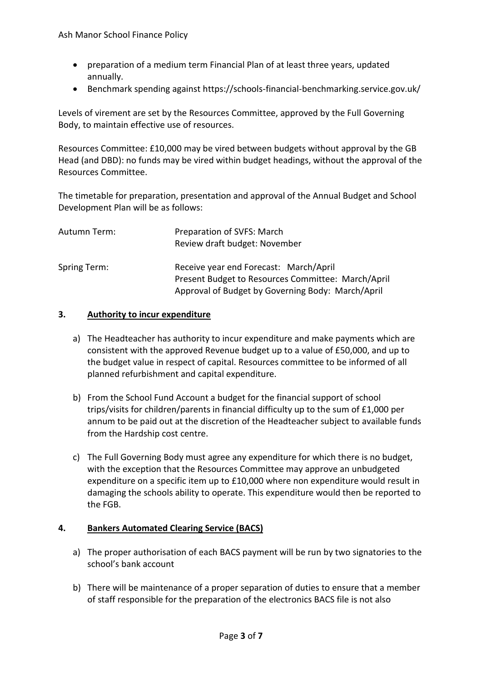- preparation of a medium term Financial Plan of at least three years, updated annually.
- Benchmark spending against https://schools-financial-benchmarking.service.gov.uk/

Levels of virement are set by the Resources Committee, approved by the Full Governing Body, to maintain effective use of resources.

Resources Committee: £10,000 may be vired between budgets without approval by the GB Head (and DBD): no funds may be vired within budget headings, without the approval of the Resources Committee.

The timetable for preparation, presentation and approval of the Annual Budget and School Development Plan will be as follows:

| Autumn Term: | Preparation of SVFS: March<br>Review draft budget: November                                  |
|--------------|----------------------------------------------------------------------------------------------|
| Spring Term: | Receive year end Forecast: March/April<br>Present Budget to Resources Committee: March/April |
|              | Approval of Budget by Governing Body: March/April                                            |

#### **3. Authority to incur expenditure**

- a) The Headteacher has authority to incur expenditure and make payments which are consistent with the approved Revenue budget up to a value of £50,000, and up to the budget value in respect of capital. Resources committee to be informed of all planned refurbishment and capital expenditure.
- b) From the School Fund Account a budget for the financial support of school trips/visits for children/parents in financial difficulty up to the sum of £1,000 per annum to be paid out at the discretion of the Headteacher subject to available funds from the Hardship cost centre.
- c) The Full Governing Body must agree any expenditure for which there is no budget, with the exception that the Resources Committee may approve an unbudgeted expenditure on a specific item up to £10,000 where non expenditure would result in damaging the schools ability to operate. This expenditure would then be reported to the FGB.

#### **4. Bankers Automated Clearing Service (BACS)**

- a) The proper authorisation of each BACS payment will be run by two signatories to the school's bank account
- b) There will be maintenance of a proper separation of duties to ensure that a member of staff responsible for the preparation of the electronics BACS file is not also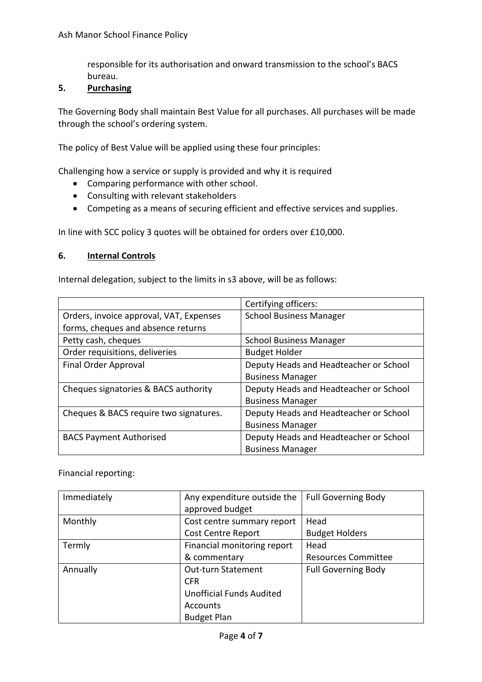responsible for its authorisation and onward transmission to the school's BACS bureau.

## **5. Purchasing**

The Governing Body shall maintain Best Value for all purchases. All purchases will be made through the school's ordering system.

The policy of Best Value will be applied using these four principles:

Challenging how a service or supply is provided and why it is required

- Comparing performance with other school.
- Consulting with relevant stakeholders
- Competing as a means of securing efficient and effective services and supplies.

In line with SCC policy 3 quotes will be obtained for orders over £10,000.

#### **6. Internal Controls**

Internal delegation, subject to the limits in s3 above, will be as follows:

|                                         | Certifying officers:                   |  |
|-----------------------------------------|----------------------------------------|--|
| Orders, invoice approval, VAT, Expenses | <b>School Business Manager</b>         |  |
| forms, cheques and absence returns      |                                        |  |
| Petty cash, cheques                     | <b>School Business Manager</b>         |  |
| Order requisitions, deliveries          | <b>Budget Holder</b>                   |  |
| Final Order Approval                    | Deputy Heads and Headteacher or School |  |
|                                         | <b>Business Manager</b>                |  |
| Cheques signatories & BACS authority    | Deputy Heads and Headteacher or School |  |
|                                         | <b>Business Manager</b>                |  |
| Cheques & BACS require two signatures.  | Deputy Heads and Headteacher or School |  |
|                                         | <b>Business Manager</b>                |  |
| <b>BACS Payment Authorised</b>          | Deputy Heads and Headteacher or School |  |
|                                         | <b>Business Manager</b>                |  |

Financial reporting:

| Immediately | Any expenditure outside the     | <b>Full Governing Body</b> |
|-------------|---------------------------------|----------------------------|
|             | approved budget                 |                            |
| Monthly     | Cost centre summary report      | Head                       |
|             | <b>Cost Centre Report</b>       | <b>Budget Holders</b>      |
| Termly      | Financial monitoring report     | Head                       |
|             | & commentary                    | <b>Resources Committee</b> |
| Annually    | <b>Out-turn Statement</b>       | <b>Full Governing Body</b> |
|             | <b>CFR</b>                      |                            |
|             | <b>Unofficial Funds Audited</b> |                            |
|             | Accounts                        |                            |
|             | <b>Budget Plan</b>              |                            |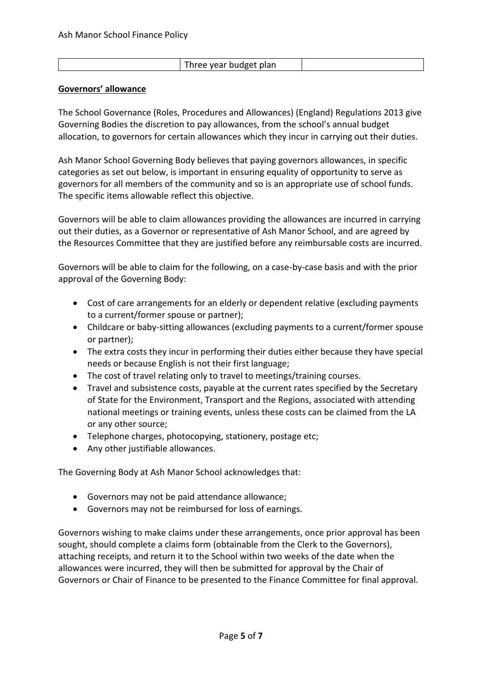| Three year budget plan |  |
|------------------------|--|

#### **Governors' allowance**

The School Governance (Roles, Procedures and Allowances) (England) Regulations 2013 give Governing Bodies the discretion to pay allowances, from the school's annual budget allocation, to governors for certain allowances which they incur in carrying out their duties.

Ash Manor School Governing Body believes that paying governors allowances, in specific categories as set out below, is important in ensuring equality of opportunity to serve as governors for all members of the community and so is an appropriate use of school funds. The specific items allowable reflect this objective.

Governors will be able to claim allowances providing the allowances are incurred in carrying out their duties, as a Governor or representative of Ash Manor School, and are agreed by the Resources Committee that they are justified before any reimbursable costs are incurred.

Governors will be able to claim for the following, on a case-by-case basis and with the prior approval of the Governing Body:

- Cost of care arrangements for an elderly or dependent relative (excluding payments to a current/former spouse or partner);
- Childcare or baby-sitting allowances (excluding payments to a current/former spouse or partner);
- The extra costs they incur in performing their duties either because they have special needs or because English is not their first language;
- The cost of travel relating only to travel to meetings/training courses.
- Travel and subsistence costs, payable at the current rates specified by the Secretary of State for the Environment, Transport and the Regions, associated with attending national meetings or training events, unless these costs can be claimed from the LA or any other source;
- Telephone charges, photocopying, stationery, postage etc;
- Any other justifiable allowances.

The Governing Body at Ash Manor School acknowledges that:

- Governors may not be paid attendance allowance;
- Governors may not be reimbursed for loss of earnings.

Governors wishing to make claims under these arrangements, once prior approval has been sought, should complete a claims form (obtainable from the Clerk to the Governors), attaching receipts, and return it to the School within two weeks of the date when the allowances were incurred, they will then be submitted for approval by the Chair of Governors or Chair of Finance to be presented to the Finance Committee for final approval.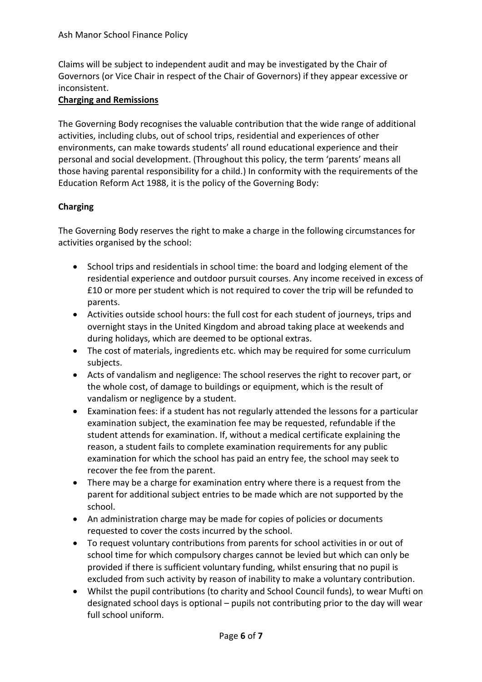Claims will be subject to independent audit and may be investigated by the Chair of Governors (or Vice Chair in respect of the Chair of Governors) if they appear excessive or inconsistent.

## **Charging and Remissions**

The Governing Body recognises the valuable contribution that the wide range of additional activities, including clubs, out of school trips, residential and experiences of other environments, can make towards students' all round educational experience and their personal and social development. (Throughout this policy, the term 'parents' means all those having parental responsibility for a child.) In conformity with the requirements of the Education Reform Act 1988, it is the policy of the Governing Body:

## **Charging**

The Governing Body reserves the right to make a charge in the following circumstances for activities organised by the school:

- School trips and residentials in school time: the board and lodging element of the residential experience and outdoor pursuit courses. Any income received in excess of £10 or more per student which is not required to cover the trip will be refunded to parents.
- Activities outside school hours: the full cost for each student of journeys, trips and overnight stays in the United Kingdom and abroad taking place at weekends and during holidays, which are deemed to be optional extras.
- The cost of materials, ingredients etc. which may be required for some curriculum subjects.
- Acts of vandalism and negligence: The school reserves the right to recover part, or the whole cost, of damage to buildings or equipment, which is the result of vandalism or negligence by a student.
- Examination fees: if a student has not regularly attended the lessons for a particular examination subject, the examination fee may be requested, refundable if the student attends for examination. If, without a medical certificate explaining the reason, a student fails to complete examination requirements for any public examination for which the school has paid an entry fee, the school may seek to recover the fee from the parent.
- There may be a charge for examination entry where there is a request from the parent for additional subject entries to be made which are not supported by the school.
- An administration charge may be made for copies of policies or documents requested to cover the costs incurred by the school.
- To request voluntary contributions from parents for school activities in or out of school time for which compulsory charges cannot be levied but which can only be provided if there is sufficient voluntary funding, whilst ensuring that no pupil is excluded from such activity by reason of inability to make a voluntary contribution.
- Whilst the pupil contributions (to charity and School Council funds), to wear Mufti on designated school days is optional – pupils not contributing prior to the day will wear full school uniform.